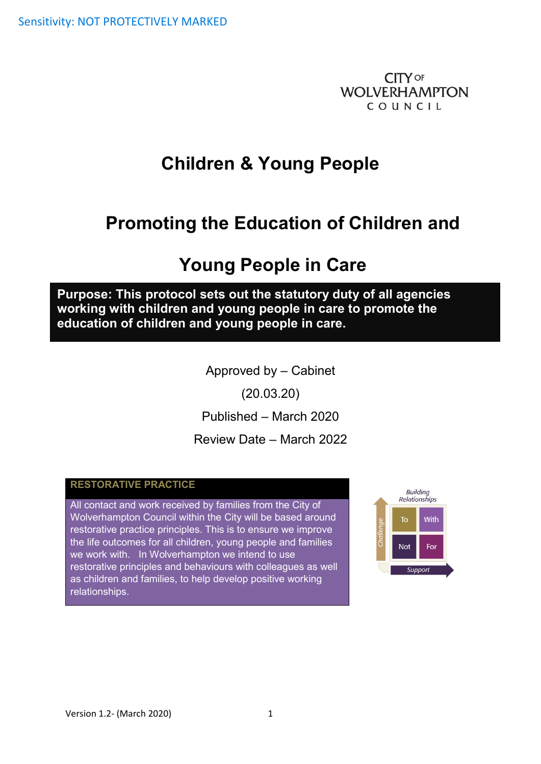**CITY OF WOLVERHAMPTON** COUNCIL

# **Children & Young People**

# **Promoting the Education of Children and**

# **Young People in Care**

**Purpose: This protocol sets out the statutory duty of all agencies working with children and young people in care to promote the education of children and young people in care.**

Approved by – Cabinet

(20.03.20)

Published – March 2020

Review Date – March 2022

#### **RESTORATIVE PRACTICE**

All contact and work received by families from the City of Wolverhampton Council within the City will be based around restorative practice principles. This is to ensure we improve the life outcomes for all children, young people and families we work with. In Wolverhampton we intend to use restorative principles and behaviours with colleagues as well as children and families, to help develop positive working relationships.

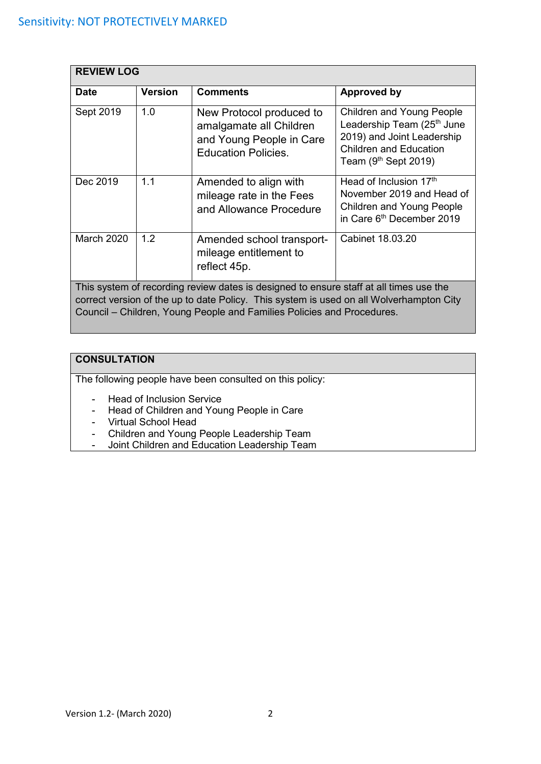| <b>REVIEW LOG</b>                                                                                                                                                                                                                                           |                |                                                                                                               |                                                                                                                                                                     |  |
|-------------------------------------------------------------------------------------------------------------------------------------------------------------------------------------------------------------------------------------------------------------|----------------|---------------------------------------------------------------------------------------------------------------|---------------------------------------------------------------------------------------------------------------------------------------------------------------------|--|
| <b>Date</b>                                                                                                                                                                                                                                                 | <b>Version</b> | <b>Comments</b>                                                                                               | Approved by                                                                                                                                                         |  |
| Sept 2019                                                                                                                                                                                                                                                   | 1.0            | New Protocol produced to<br>amalgamate all Children<br>and Young People in Care<br><b>Education Policies.</b> | <b>Children and Young People</b><br>Leadership Team (25 <sup>th</sup> June<br>2019) and Joint Leadership<br><b>Children and Education</b><br>Team $(9th$ Sept 2019) |  |
| Dec 2019                                                                                                                                                                                                                                                    | 1.1            | Amended to align with<br>mileage rate in the Fees<br>and Allowance Procedure                                  | Head of Inclusion 17th<br>November 2019 and Head of<br><b>Children and Young People</b><br>in Care 6th December 2019                                                |  |
| <b>March 2020</b>                                                                                                                                                                                                                                           | 1.2            | Amended school transport-<br>mileage entitlement to<br>reflect 45p.                                           | Cabinet 18,03,20                                                                                                                                                    |  |
| This system of recording review dates is designed to ensure staff at all times use the<br>correct version of the up to date Policy. This system is used on all Wolverhampton City<br>Council – Children, Young People and Families Policies and Procedures. |                |                                                                                                               |                                                                                                                                                                     |  |

## **CONSULTATION**

The following people have been consulted on this policy:

- Head of Inclusion Service
- Head of Children and Young People in Care
- Virtual School Head
- Children and Young People Leadership Team
- Joint Children and Education Leadership Team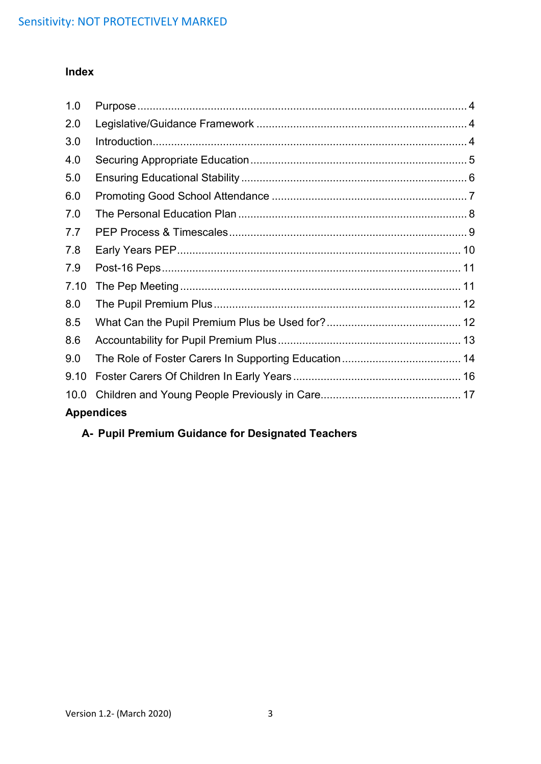# **Index**

| 1.0  |                   |  |
|------|-------------------|--|
| 2.0  |                   |  |
| 3.0  |                   |  |
| 4.0  |                   |  |
| 5.0  |                   |  |
| 6.0  |                   |  |
| 7.0  |                   |  |
| 7.7  |                   |  |
| 7.8  |                   |  |
| 7.9  |                   |  |
| 7.10 |                   |  |
| 8.0  |                   |  |
| 8.5  |                   |  |
| 8.6  |                   |  |
| 9.0  |                   |  |
| 9.10 |                   |  |
| 10.0 |                   |  |
|      | <b>Appendices</b> |  |

# **A- Pupil Premium Guidance for Designated Teachers**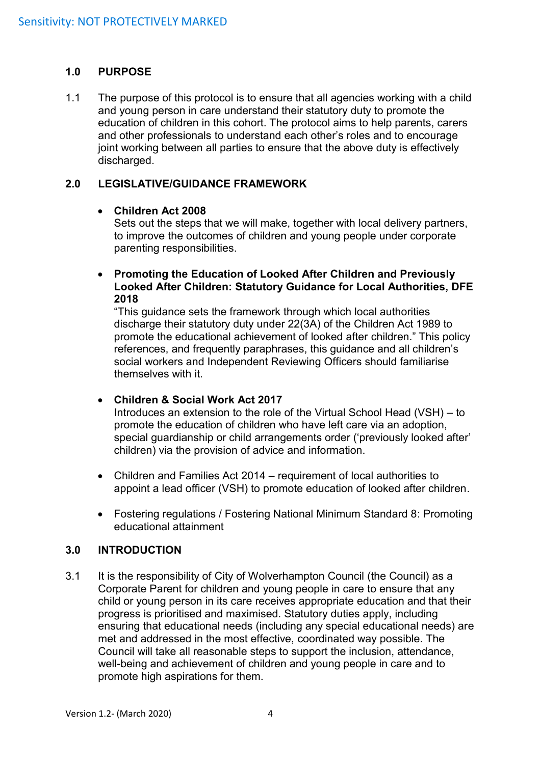#### <span id="page-3-0"></span>**1.0 PURPOSE**

1.1 The purpose of this protocol is to ensure that all agencies working with a child and young person in care understand their statutory duty to promote the education of children in this cohort. The protocol aims to help parents, carers and other professionals to understand each other's roles and to encourage joint working between all parties to ensure that the above duty is effectively discharged.

#### <span id="page-3-1"></span>**2.0 LEGISLATIVE/GUIDANCE FRAMEWORK**

#### • **Children Act 2008**

Sets out the steps that we will make, together with local delivery partners, to improve the outcomes of children and young people under corporate parenting responsibilities.

• **Promoting the Education of Looked After Children and Previously Looked After Children: Statutory Guidance for Local Authorities, DFE 2018** 

"This guidance sets the framework through which local authorities discharge their statutory duty under 22(3A) of the Children Act 1989 to promote the educational achievement of looked after children." This policy references, and frequently paraphrases, this guidance and all children's social workers and Independent Reviewing Officers should familiarise themselves with it.

#### • **Children & Social Work Act 2017**

Introduces an extension to the role of the Virtual School Head (VSH) – to promote the education of children who have left care via an adoption, special guardianship or child arrangements order ('previously looked after' children) via the provision of advice and information.

- Children and Families Act 2014 requirement of local authorities to appoint a lead officer (VSH) to promote education of looked after children.
- Fostering regulations / Fostering National Minimum Standard 8: Promoting educational attainment

#### <span id="page-3-2"></span>**3.0 INTRODUCTION**

3.1 It is the responsibility of City of Wolverhampton Council (the Council) as a Corporate Parent for children and young people in care to ensure that any child or young person in its care receives appropriate education and that their progress is prioritised and maximised. Statutory duties apply, including ensuring that educational needs (including any special educational needs) are met and addressed in the most effective, coordinated way possible. The Council will take all reasonable steps to support the inclusion, attendance, well-being and achievement of children and young people in care and to promote high aspirations for them.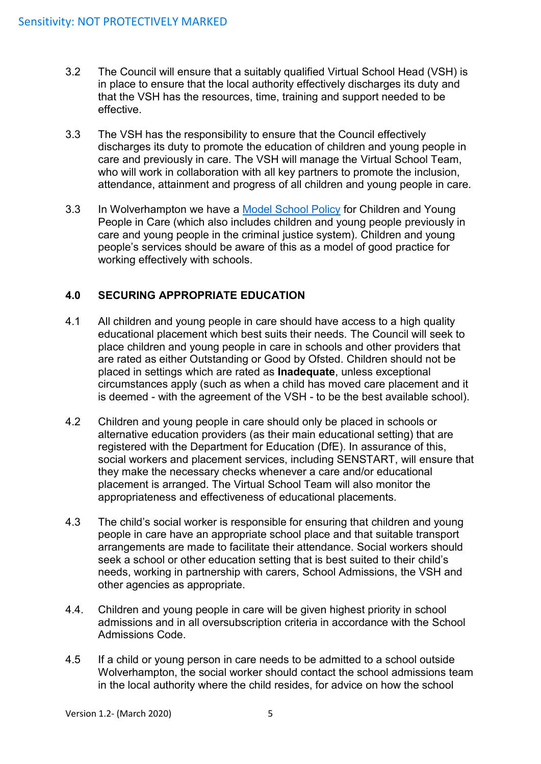- 3.2 The Council will ensure that a suitably qualified Virtual School Head (VSH) is in place to ensure that the local authority effectively discharges its duty and that the VSH has the resources, time, training and support needed to be effective.
- 3.3 The VSH has the responsibility to ensure that the Council effectively discharges its duty to promote the education of children and young people in care and previously in care. The VSH will manage the Virtual School Team, who will work in collaboration with all key partners to promote the inclusion, attendance, attainment and progress of all children and young people in care.
- 3.3 In Wolverhampton we have a Model [School Policy](file://///core/data/AdultsAndComm$/CYP/Shared%20Information%20(Read%20Only)/Children%20and%20Families/C&F%20-%20Policies,%20Procedures%20and%20Protocols/INDEXNEW_files/DO%20NOT%20USE/Alpha/L/LAC/Model%20School%20Policy.pdf) for Children and Young People in Care (which also includes children and young people previously in care and young people in the criminal justice system). Children and young people's services should be aware of this as a model of good practice for working effectively with schools.

### <span id="page-4-0"></span>**4.0 SECURING APPROPRIATE EDUCATION**

- 4.1 All children and young people in care should have access to a high quality educational placement which best suits their needs. The Council will seek to place children and young people in care in schools and other providers that are rated as either Outstanding or Good by Ofsted. Children should not be placed in settings which are rated as **Inadequate**, unless exceptional circumstances apply (such as when a child has moved care placement and it is deemed - with the agreement of the VSH - to be the best available school).
- 4.2 Children and young people in care should only be placed in schools or alternative education providers (as their main educational setting) that are registered with the Department for Education (DfE). In assurance of this, social workers and placement services, including SENSTART, will ensure that they make the necessary checks whenever a care and/or educational placement is arranged. The Virtual School Team will also monitor the appropriateness and effectiveness of educational placements.
- 4.3 The child's social worker is responsible for ensuring that children and young people in care have an appropriate school place and that suitable transport arrangements are made to facilitate their attendance. Social workers should seek a school or other education setting that is best suited to their child's needs, working in partnership with carers, School Admissions, the VSH and other agencies as appropriate.
- 4.4. Children and young people in care will be given highest priority in school admissions and in all oversubscription criteria in accordance with the School Admissions Code.
- 4.5 If a child or young person in care needs to be admitted to a school outside Wolverhampton, the social worker should contact the school admissions team in the local authority where the child resides, for advice on how the school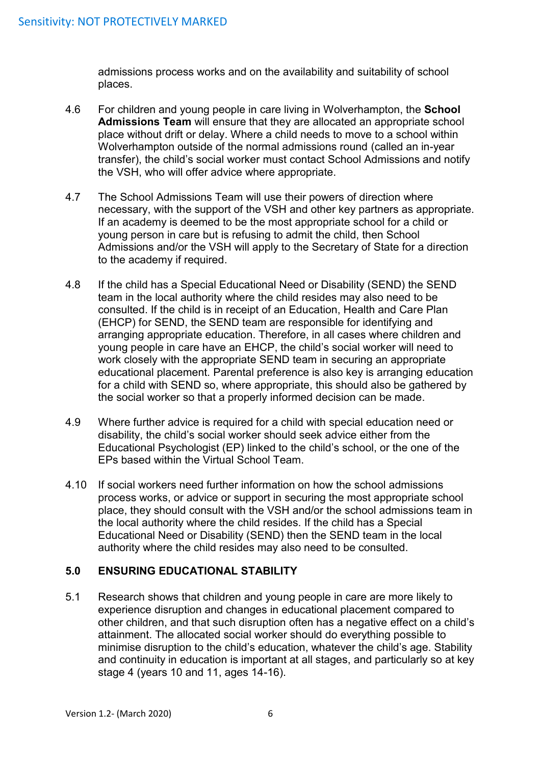admissions process works and on the availability and suitability of school places.

- 4.6 For children and young people in care living in Wolverhampton, the **School Admissions Team** will ensure that they are allocated an appropriate school place without drift or delay. Where a child needs to move to a school within Wolverhampton outside of the normal admissions round (called an in-year transfer), the child's social worker must contact School Admissions and notify the VSH, who will offer advice where appropriate.
- 4.7 The School Admissions Team will use their powers of direction where necessary, with the support of the VSH and other key partners as appropriate. If an academy is deemed to be the most appropriate school for a child or young person in care but is refusing to admit the child, then School Admissions and/or the VSH will apply to the Secretary of State for a direction to the academy if required.
- 4.8 If the child has a Special Educational Need or Disability (SEND) the SEND team in the local authority where the child resides may also need to be consulted. If the child is in receipt of an Education, Health and Care Plan (EHCP) for SEND, the SEND team are responsible for identifying and arranging appropriate education. Therefore, in all cases where children and young people in care have an EHCP, the child's social worker will need to work closely with the appropriate SEND team in securing an appropriate educational placement. Parental preference is also key is arranging education for a child with SEND so, where appropriate, this should also be gathered by the social worker so that a properly informed decision can be made.
- 4.9 Where further advice is required for a child with special education need or disability, the child's social worker should seek advice either from the Educational Psychologist (EP) linked to the child's school, or the one of the EPs based within the Virtual School Team.
- 4.10 If social workers need further information on how the school admissions process works, or advice or support in securing the most appropriate school place, they should consult with the VSH and/or the school admissions team in the local authority where the child resides. If the child has a Special Educational Need or Disability (SEND) then the SEND team in the local authority where the child resides may also need to be consulted.

### <span id="page-5-0"></span>**5.0 ENSURING EDUCATIONAL STABILITY**

5.1 Research shows that children and young people in care are more likely to experience disruption and changes in educational placement compared to other children, and that such disruption often has a negative effect on a child's attainment. The allocated social worker should do everything possible to minimise disruption to the child's education, whatever the child's age. Stability and continuity in education is important at all stages, and particularly so at key stage 4 (years 10 and 11, ages 14-16).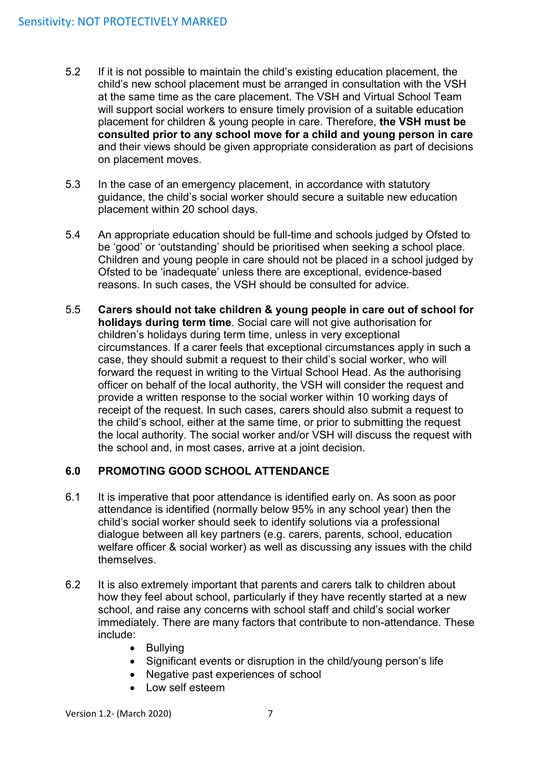- 5.2 If it is not possible to maintain the child's existing education placement, the child's new school placement must be arranged in consultation with the VSH at the same time as the care placement. The VSH and Virtual School Team will support social workers to ensure timely provision of a suitable education placement for children & young people in care. Therefore, **the VSH must be consulted prior to any school move for a child and young person in care**  and their views should be given appropriate consideration as part of decisions on placement moves.
- 5.3 In the case of an emergency placement, in accordance with statutory guidance, the child's social worker should secure a suitable new education placement within 20 school days.
- 5.4 An appropriate education should be full-time and schools judged by Ofsted to be 'good' or 'outstanding' should be prioritised when seeking a school place. Children and young people in care should not be placed in a school judged by Ofsted to be 'inadequate' unless there are exceptional, evidence-based reasons. In such cases, the VSH should be consulted for advice.
- 5.5 **Carers should not take children & young people in care out of school for holidays during term time**. Social care will not give authorisation for children's holidays during term time, unless in very exceptional circumstances. If a carer feels that exceptional circumstances apply in such a case, they should submit a request to their child's social worker, who will forward the request in writing to the Virtual School Head. As the authorising officer on behalf of the local authority, the VSH will consider the request and provide a written response to the social worker within 10 working days of receipt of the request. In such cases, carers should also submit a request to the child's school, either at the same time, or prior to submitting the request the local authority. The social worker and/or VSH will discuss the request with the school and, in most cases, arrive at a joint decision.

### <span id="page-6-0"></span>**6.0 PROMOTING GOOD SCHOOL ATTENDANCE**

- 6.1 It is imperative that poor attendance is identified early on. As soon as poor attendance is identified (normally below 95% in any school year) then the child's social worker should seek to identify solutions via a professional dialogue between all key partners (e.g. carers, parents, school, education welfare officer & social worker) as well as discussing any issues with the child themselves.
- 6.2 It is also extremely important that parents and carers talk to children about how they feel about school, particularly if they have recently started at a new school, and raise any concerns with school staff and child's social worker immediately. There are many factors that contribute to non-attendance. These include:
	- Bullying
	- Significant events or disruption in the child/young person's life
	- Negative past experiences of school
	- Low self esteem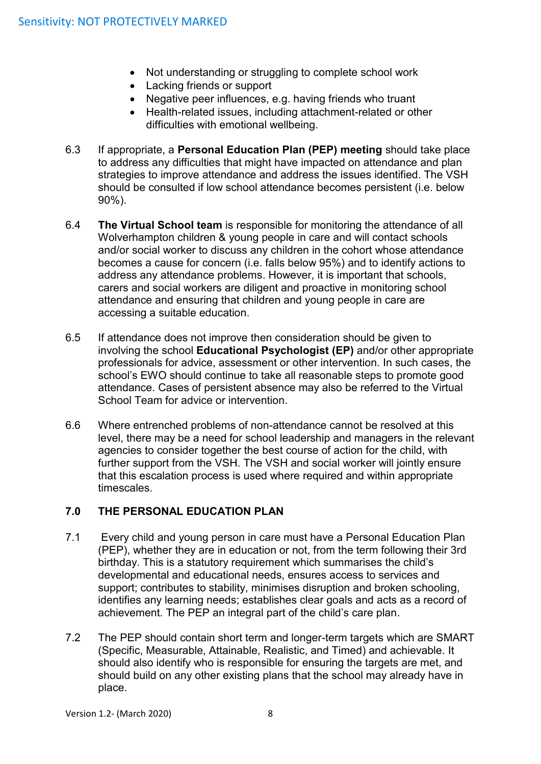- Not understanding or struggling to complete school work
- Lacking friends or support
- Negative peer influences, e.g. having friends who truant
- Health-related issues, including attachment-related or other difficulties with emotional wellbeing.
- 6.3 If appropriate, a **Personal Education Plan (PEP) meeting** should take place to address any difficulties that might have impacted on attendance and plan strategies to improve attendance and address the issues identified. The VSH should be consulted if low school attendance becomes persistent (i.e. below 90%).
- 6.4 **The Virtual School team** is responsible for monitoring the attendance of all Wolverhampton children & young people in care and will contact schools and/or social worker to discuss any children in the cohort whose attendance becomes a cause for concern (i.e. falls below 95%) and to identify actions to address any attendance problems. However, it is important that schools, carers and social workers are diligent and proactive in monitoring school attendance and ensuring that children and young people in care are accessing a suitable education.
- 6.5 If attendance does not improve then consideration should be given to involving the school **Educational Psychologist (EP)** and/or other appropriate professionals for advice, assessment or other intervention. In such cases, the school's EWO should continue to take all reasonable steps to promote good attendance. Cases of persistent absence may also be referred to the Virtual School Team for advice or intervention.
- 6.6 Where entrenched problems of non-attendance cannot be resolved at this level, there may be a need for school leadership and managers in the relevant agencies to consider together the best course of action for the child, with further support from the VSH. The VSH and social worker will jointly ensure that this escalation process is used where required and within appropriate timescales.

#### <span id="page-7-0"></span>**7.0 THE PERSONAL EDUCATION PLAN**

- 7.1 Every child and young person in care must have a Personal Education Plan (PEP), whether they are in education or not, from the term following their 3rd birthday. This is a statutory requirement which summarises the child's developmental and educational needs, ensures access to services and support; contributes to stability, minimises disruption and broken schooling, identifies any learning needs; establishes clear goals and acts as a record of achievement. The PEP an integral part of the child's care plan.
- 7.2 The PEP should contain short term and longer-term targets which are SMART (Specific, Measurable, Attainable, Realistic, and Timed) and achievable. It should also identify who is responsible for ensuring the targets are met, and should build on any other existing plans that the school may already have in place.

Version 1.2- (March 2020) 8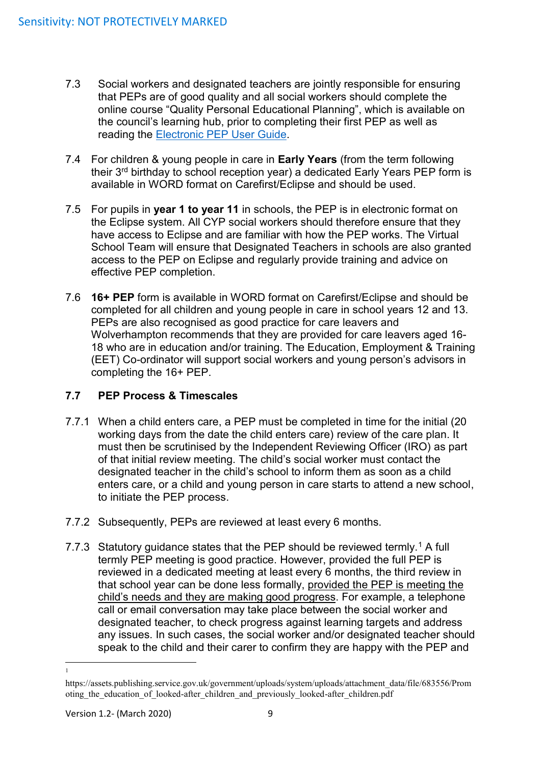- 7.3 Social workers and designated teachers are jointly responsible for ensuring that PEPs are of good quality and all social workers should complete the online course "Quality Personal Educational Planning", which is available on the council's learning hub, prior to completing their first PEP as well as reading the [Electronic PEP User Guide.](file://///core/data/AdultsAndComm$/CYP/Shared%20Information%20(Read%20Only)/Children%20and%20Families/C&F%20-%20Policies,%20Procedures%20and%20Protocols/INDEXNEW_files/DO%20NOT%20USE/Alpha/L/LAC/Electronic%20PEP.pdf)
- 7.4 For children & young people in care in **Early Years** (from the term following their 3<sup>rd</sup> birthday to school reception year) a dedicated Early Years PEP form is available in WORD format on Carefirst/Eclipse and should be used.
- 7.5 For pupils in **year 1 to year 11** in schools, the PEP is in electronic format on the Eclipse system. All CYP social workers should therefore ensure that they have access to Eclipse and are familiar with how the PEP works. The Virtual School Team will ensure that Designated Teachers in schools are also granted access to the PEP on Eclipse and regularly provide training and advice on effective PEP completion.
- 7.6 **16+ PEP** form is available in WORD format on Carefirst/Eclipse and should be completed for all children and young people in care in school years 12 and 13. PEPs are also recognised as good practice for care leavers and Wolverhampton recommends that they are provided for care leavers aged 16- 18 who are in education and/or training. The Education, Employment & Training (EET) Co-ordinator will support social workers and young person's advisors in completing the 16+ PEP.

### <span id="page-8-0"></span>**7.7 PEP Process & Timescales**

- 7.7.1 When a child enters care, a PEP must be completed in time for the initial (20 working days from the date the child enters care) review of the care plan. It must then be scrutinised by the Independent Reviewing Officer (IRO) as part of that initial review meeting. The child's social worker must contact the designated teacher in the child's school to inform them as soon as a child enters care, or a child and young person in care starts to attend a new school, to initiate the PEP process.
- 7.7.2 Subsequently, PEPs are reviewed at least every 6 months.
- 7.7.3 Statutory guidance states that the PEP should be reviewed termly.<sup>1</sup> A full termly PEP meeting is good practice. However, provided the full PEP is reviewed in a dedicated meeting at least every 6 months, the third review in that school year can be done less formally, provided the PEP is meeting the child's needs and they are making good progress. For example, a telephone call or email conversation may take place between the social worker and designated teacher, to check progress against learning targets and address any issues. In such cases, the social worker and/or designated teacher should speak to the child and their carer to confirm they are happy with the PEP and

 $\overline{a}$ 1

https://assets.publishing.service.gov.uk/government/uploads/system/uploads/attachment\_data/file/683556/Prom oting the education of looked-after children and previously looked-after children.pdf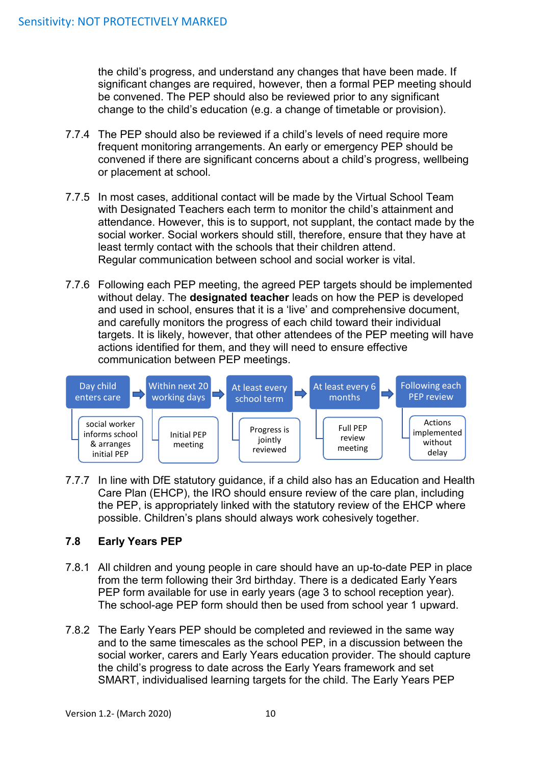the child's progress, and understand any changes that have been made. If significant changes are required, however, then a formal PEP meeting should be convened. The PEP should also be reviewed prior to any significant change to the child's education (e.g. a change of timetable or provision).

- 7.7.4 The PEP should also be reviewed if a child's levels of need require more frequent monitoring arrangements. An early or emergency PEP should be convened if there are significant concerns about a child's progress, wellbeing or placement at school.
- 7.7.5 In most cases, additional contact will be made by the Virtual School Team with Designated Teachers each term to monitor the child's attainment and attendance. However, this is to support, not supplant, the contact made by the social worker. Social workers should still, therefore, ensure that they have at least termly contact with the schools that their children attend. Regular communication between school and social worker is vital.
- 7.7.6 Following each PEP meeting, the agreed PEP targets should be implemented without delay. The **designated teacher** leads on how the PEP is developed and used in school, ensures that it is a 'live' and comprehensive document, and carefully monitors the progress of each child toward their individual targets. It is likely, however, that other attendees of the PEP meeting will have actions identified for them, and they will need to ensure effective communication between PEP meetings.



7.7.7 In line with DfE statutory guidance, if a child also has an Education and Health Care Plan (EHCP), the IRO should ensure review of the care plan, including the PEP, is appropriately linked with the statutory review of the EHCP where possible. Children's plans should always work cohesively together.

### <span id="page-9-0"></span>**7.8 Early Years PEP**

- 7.8.1 All children and young people in care should have an up-to-date PEP in place from the term following their 3rd birthday. There is a dedicated Early Years PEP form available for use in early years (age 3 to school reception year). The school-age PEP form should then be used from school year 1 upward.
- 7.8.2 The Early Years PEP should be completed and reviewed in the same way and to the same timescales as the school PEP, in a discussion between the social worker, carers and Early Years education provider. The should capture the child's progress to date across the Early Years framework and set SMART, individualised learning targets for the child. The Early Years PEP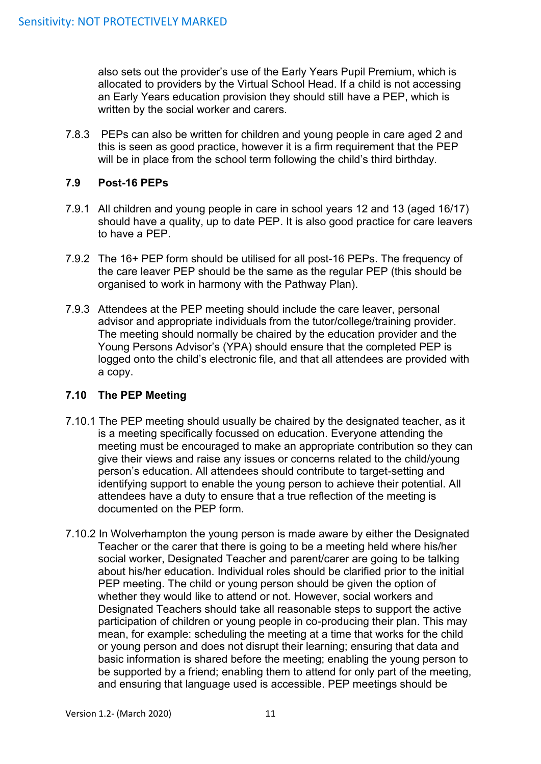also sets out the provider's use of the Early Years Pupil Premium, which is allocated to providers by the Virtual School Head. If a child is not accessing an Early Years education provision they should still have a PEP, which is written by the social worker and carers.

7.8.3 PEPs can also be written for children and young people in care aged 2 and this is seen as good practice, however it is a firm requirement that the PEP will be in place from the school term following the child's third birthday.

#### <span id="page-10-0"></span>**7.9 Post-16 PEPs**

- 7.9.1 All children and young people in care in school years 12 and 13 (aged 16/17) should have a quality, up to date PEP. It is also good practice for care leavers to have a PEP.
- 7.9.2 The 16+ PEP form should be utilised for all post-16 PEPs. The frequency of the care leaver PEP should be the same as the regular PEP (this should be organised to work in harmony with the Pathway Plan).
- 7.9.3 Attendees at the PEP meeting should include the care leaver, personal advisor and appropriate individuals from the tutor/college/training provider. The meeting should normally be chaired by the education provider and the Young Persons Advisor's (YPA) should ensure that the completed PEP is logged onto the child's electronic file, and that all attendees are provided with a copy.

### <span id="page-10-1"></span>**7.10 The PEP Meeting**

- 7.10.1 The PEP meeting should usually be chaired by the designated teacher, as it is a meeting specifically focussed on education. Everyone attending the meeting must be encouraged to make an appropriate contribution so they can give their views and raise any issues or concerns related to the child/young person's education. All attendees should contribute to target-setting and identifying support to enable the young person to achieve their potential. All attendees have a duty to ensure that a true reflection of the meeting is documented on the PEP form.
- 7.10.2 In Wolverhampton the young person is made aware by either the Designated Teacher or the carer that there is going to be a meeting held where his/her social worker, Designated Teacher and parent/carer are going to be talking about his/her education. Individual roles should be clarified prior to the initial PEP meeting. The child or young person should be given the option of whether they would like to attend or not. However, social workers and Designated Teachers should take all reasonable steps to support the active participation of children or young people in co-producing their plan. This may mean, for example: scheduling the meeting at a time that works for the child or young person and does not disrupt their learning; ensuring that data and basic information is shared before the meeting; enabling the young person to be supported by a friend; enabling them to attend for only part of the meeting, and ensuring that language used is accessible. PEP meetings should be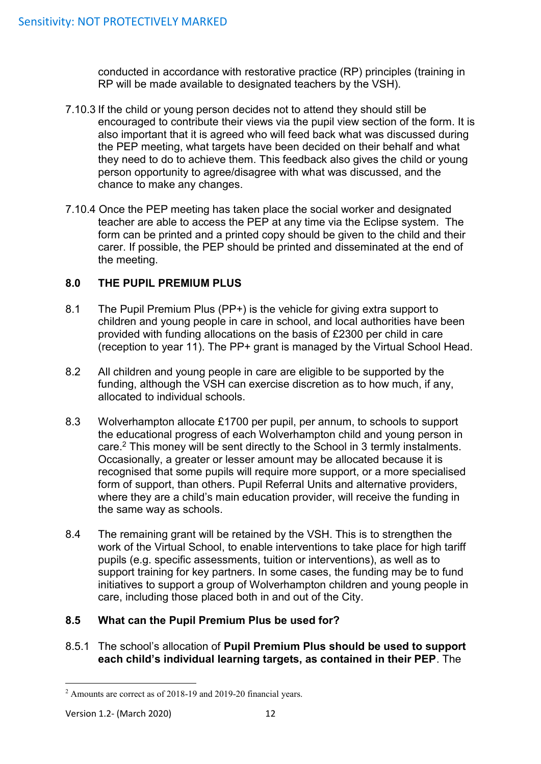conducted in accordance with restorative practice (RP) principles (training in RP will be made available to designated teachers by the VSH).

- 7.10.3 If the child or young person decides not to attend they should still be encouraged to contribute their views via the pupil view section of the form. It is also important that it is agreed who will feed back what was discussed during the PEP meeting, what targets have been decided on their behalf and what they need to do to achieve them. This feedback also gives the child or young person opportunity to agree/disagree with what was discussed, and the chance to make any changes.
- 7.10.4 Once the PEP meeting has taken place the social worker and designated teacher are able to access the PEP at any time via the Eclipse system. The form can be printed and a printed copy should be given to the child and their carer. If possible, the PEP should be printed and disseminated at the end of the meeting.

### <span id="page-11-0"></span>**8.0 THE PUPIL PREMIUM PLUS**

- 8.1 The Pupil Premium Plus (PP+) is the vehicle for giving extra support to children and young people in care in school, and local authorities have been provided with funding allocations on the basis of £2300 per child in care (reception to year 11). The PP+ grant is managed by the Virtual School Head.
- 8.2 All children and young people in care are eligible to be supported by the funding, although the VSH can exercise discretion as to how much, if any, allocated to individual schools.
- 8.3 Wolverhampton allocate £1700 per pupil, per annum, to schools to support the educational progress of each Wolverhampton child and young person in care.<sup>2</sup> This money will be sent directly to the School in 3 termly instalments. Occasionally, a greater or lesser amount may be allocated because it is recognised that some pupils will require more support, or a more specialised form of support, than others. Pupil Referral Units and alternative providers, where they are a child's main education provider, will receive the funding in the same way as schools.
- 8.4 The remaining grant will be retained by the VSH. This is to strengthen the work of the Virtual School, to enable interventions to take place for high tariff pupils (e.g. specific assessments, tuition or interventions), as well as to support training for key partners. In some cases, the funding may be to fund initiatives to support a group of Wolverhampton children and young people in care, including those placed both in and out of the City.

#### <span id="page-11-1"></span>**8.5 What can the Pupil Premium Plus be used for?**

8.5.1 The school's allocation of **Pupil Premium Plus should be used to support each child's individual learning targets, as contained in their PEP**. The

**<sup>.</sup>** <sup>2</sup> Amounts are correct as of 2018-19 and 2019-20 financial years.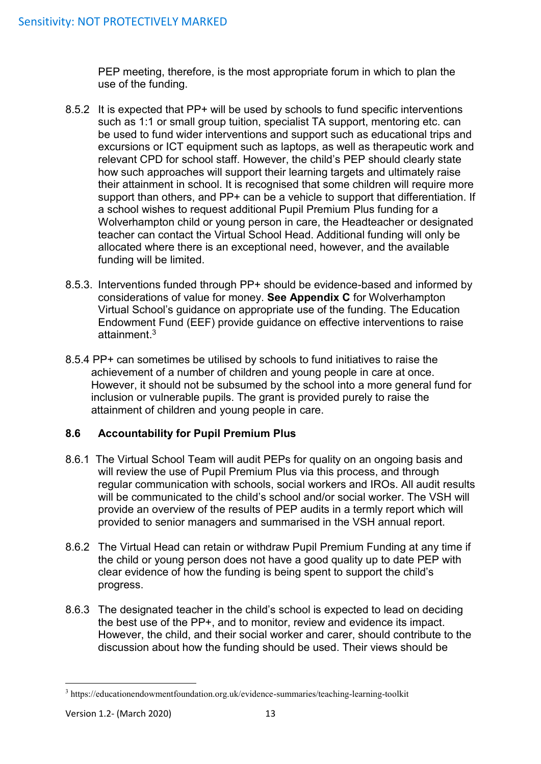PEP meeting, therefore, is the most appropriate forum in which to plan the use of the funding.

- 8.5.2 It is expected that PP+ will be used by schools to fund specific interventions such as 1:1 or small group tuition, specialist TA support, mentoring etc. can be used to fund wider interventions and support such as educational trips and excursions or ICT equipment such as laptops, as well as therapeutic work and relevant CPD for school staff. However, the child's PEP should clearly state how such approaches will support their learning targets and ultimately raise their attainment in school. It is recognised that some children will require more support than others, and PP+ can be a vehicle to support that differentiation. If a school wishes to request additional Pupil Premium Plus funding for a Wolverhampton child or young person in care, the Headteacher or designated teacher can contact the Virtual School Head. Additional funding will only be allocated where there is an exceptional need, however, and the available funding will be limited.
- 8.5.3. Interventions funded through PP+ should be evidence-based and informed by considerations of value for money. **See Appendix C** for Wolverhampton Virtual School's guidance on appropriate use of the funding. The Education Endowment Fund (EEF) provide guidance on effective interventions to raise attainment. 3
- 8.5.4 PP+ can sometimes be utilised by schools to fund initiatives to raise the achievement of a number of children and young people in care at once. However, it should not be subsumed by the school into a more general fund for inclusion or vulnerable pupils. The grant is provided purely to raise the attainment of children and young people in care.

### <span id="page-12-0"></span>**8.6 Accountability for Pupil Premium Plus**

- 8.6.1 The Virtual School Team will audit PEPs for quality on an ongoing basis and will review the use of Pupil Premium Plus via this process, and through regular communication with schools, social workers and IROs. All audit results will be communicated to the child's school and/or social worker. The VSH will provide an overview of the results of PEP audits in a termly report which will provided to senior managers and summarised in the VSH annual report.
- 8.6.2 The Virtual Head can retain or withdraw Pupil Premium Funding at any time if the child or young person does not have a good quality up to date PEP with clear evidence of how the funding is being spent to support the child's progress.
- 8.6.3 The designated teacher in the child's school is expected to lead on deciding the best use of the PP+, and to monitor, review and evidence its impact. However, the child, and their social worker and carer, should contribute to the discussion about how the funding should be used. Their views should be

**.** 

<sup>3</sup> https://educationendowmentfoundation.org.uk/evidence-summaries/teaching-learning-toolkit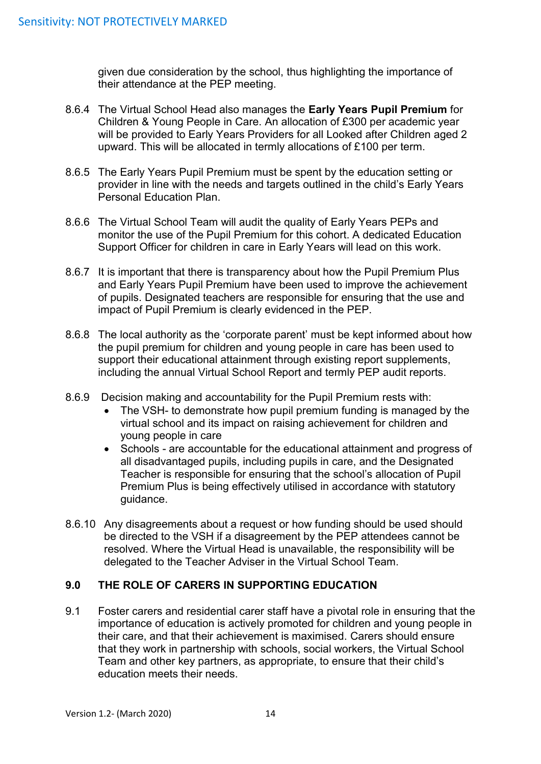given due consideration by the school, thus highlighting the importance of their attendance at the PEP meeting.

- 8.6.4 The Virtual School Head also manages the **Early Years Pupil Premium** for Children & Young People in Care. An allocation of £300 per academic year will be provided to Early Years Providers for all Looked after Children aged 2 upward. This will be allocated in termly allocations of £100 per term.
- 8.6.5 The Early Years Pupil Premium must be spent by the education setting or provider in line with the needs and targets outlined in the child's Early Years Personal Education Plan.
- 8.6.6 The Virtual School Team will audit the quality of Early Years PEPs and monitor the use of the Pupil Premium for this cohort. A dedicated Education Support Officer for children in care in Early Years will lead on this work.
- 8.6.7 It is important that there is transparency about how the Pupil Premium Plus and Early Years Pupil Premium have been used to improve the achievement of pupils. Designated teachers are responsible for ensuring that the use and impact of Pupil Premium is clearly evidenced in the PEP.
- 8.6.8 The local authority as the 'corporate parent' must be kept informed about how the pupil premium for children and young people in care has been used to support their educational attainment through existing report supplements, including the annual Virtual School Report and termly PEP audit reports.
- 8.6.9 Decision making and accountability for the Pupil Premium rests with:
	- The VSH- to demonstrate how pupil premium funding is managed by the virtual school and its impact on raising achievement for children and young people in care
	- Schools are accountable for the educational attainment and progress of all disadvantaged pupils, including pupils in care, and the Designated Teacher is responsible for ensuring that the school's allocation of Pupil Premium Plus is being effectively utilised in accordance with statutory guidance.
- 8.6.10 Any disagreements about a request or how funding should be used should be directed to the VSH if a disagreement by the PEP attendees cannot be resolved. Where the Virtual Head is unavailable, the responsibility will be delegated to the Teacher Adviser in the Virtual School Team.

#### <span id="page-13-0"></span>**9.0 THE ROLE OF CARERS IN SUPPORTING EDUCATION**

9.1 Foster carers and residential carer staff have a pivotal role in ensuring that the importance of education is actively promoted for children and young people in their care, and that their achievement is maximised. Carers should ensure that they work in partnership with schools, social workers, the Virtual School Team and other key partners, as appropriate, to ensure that their child's education meets their needs.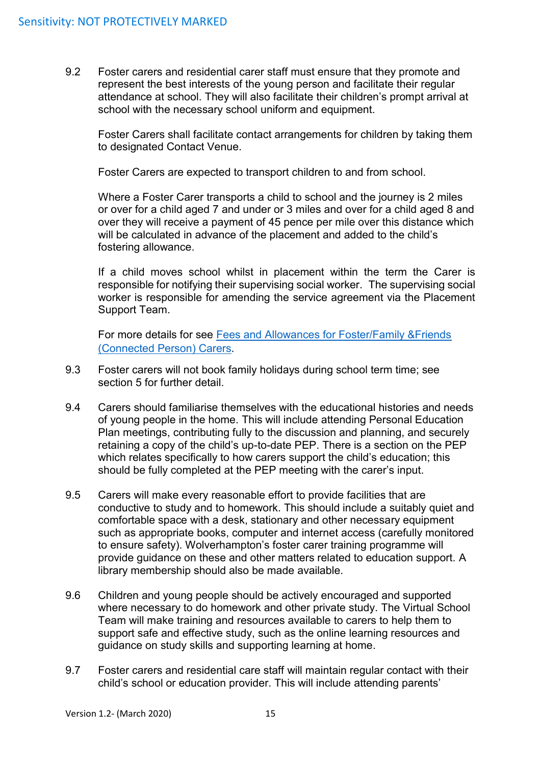9.2 Foster carers and residential carer staff must ensure that they promote and represent the best interests of the young person and facilitate their regular attendance at school. They will also facilitate their children's prompt arrival at school with the necessary school uniform and equipment.

Foster Carers shall facilitate contact arrangements for children by taking them to designated Contact Venue.

Foster Carers are expected to transport children to and from school.

Where a Foster Carer transports a child to school and the journey is 2 miles or over for a child aged 7 and under or 3 miles and over for a child aged 8 and over they will receive a payment of 45 pence per mile over this distance which will be calculated in advance of the placement and added to the child's fostering allowance.

If a child moves school whilst in placement within the term the Carer is responsible for notifying their supervising social worker. The supervising social worker is responsible for amending the service agreement via the Placement Support Team.

For more details for see [Fees and Allowances for Foster/Family &Friends](file://///core/data/AdultsAndComm$/CYP/Shared%20Information%20(Read%20Only)/Children%20and%20Families/C&F%20-%20Policies,%20Procedures%20and%20Protocols/INDEXNEW_files/DO%20NOT%20USE/Alpha/F/fostering/1.8Fees_AllowancesPolicyApril20.pdf)  [\(Connected Person\) Carers](file://///core/data/AdultsAndComm$/CYP/Shared%20Information%20(Read%20Only)/Children%20and%20Families/C&F%20-%20Policies,%20Procedures%20and%20Protocols/INDEXNEW_files/DO%20NOT%20USE/Alpha/F/fostering/1.8Fees_AllowancesPolicyApril20.pdf).

- 9.3 Foster carers will not book family holidays during school term time; see section 5 for further detail.
- 9.4 Carers should familiarise themselves with the educational histories and needs of young people in the home. This will include attending Personal Education Plan meetings, contributing fully to the discussion and planning, and securely retaining a copy of the child's up-to-date PEP. There is a section on the PEP which relates specifically to how carers support the child's education; this should be fully completed at the PEP meeting with the carer's input.
- 9.5 Carers will make every reasonable effort to provide facilities that are conductive to study and to homework. This should include a suitably quiet and comfortable space with a desk, stationary and other necessary equipment such as appropriate books, computer and internet access (carefully monitored to ensure safety). Wolverhampton's foster carer training programme will provide guidance on these and other matters related to education support. A library membership should also be made available.
- 9.6 Children and young people should be actively encouraged and supported where necessary to do homework and other private study. The Virtual School Team will make training and resources available to carers to help them to support safe and effective study, such as the online learning resources and guidance on study skills and supporting learning at home.
- 9.7 Foster carers and residential care staff will maintain regular contact with their child's school or education provider. This will include attending parents'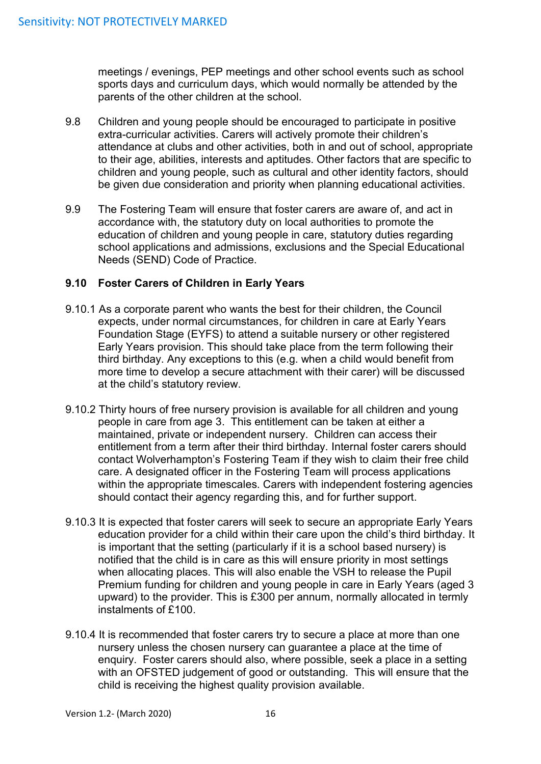meetings / evenings, PEP meetings and other school events such as school sports days and curriculum days, which would normally be attended by the parents of the other children at the school.

- 9.8 Children and young people should be encouraged to participate in positive extra-curricular activities. Carers will actively promote their children's attendance at clubs and other activities, both in and out of school, appropriate to their age, abilities, interests and aptitudes. Other factors that are specific to children and young people, such as cultural and other identity factors, should be given due consideration and priority when planning educational activities.
- 9.9 The Fostering Team will ensure that foster carers are aware of, and act in accordance with, the statutory duty on local authorities to promote the education of children and young people in care, statutory duties regarding school applications and admissions, exclusions and the Special Educational Needs (SEND) Code of Practice.

#### <span id="page-15-0"></span>**9.10 Foster Carers of Children in Early Years**

- 9.10.1 As a corporate parent who wants the best for their children, the Council expects, under normal circumstances, for children in care at Early Years Foundation Stage (EYFS) to attend a suitable nursery or other registered Early Years provision. This should take place from the term following their third birthday. Any exceptions to this (e.g. when a child would benefit from more time to develop a secure attachment with their carer) will be discussed at the child's statutory review.
- 9.10.2 Thirty hours of free nursery provision is available for all children and young people in care from age 3. This entitlement can be taken at either a maintained, private or independent nursery. Children can access their entitlement from a term after their third birthday. Internal foster carers should contact Wolverhampton's Fostering Team if they wish to claim their free child care. A designated officer in the Fostering Team will process applications within the appropriate timescales. Carers with independent fostering agencies should contact their agency regarding this, and for further support.
- 9.10.3 It is expected that foster carers will seek to secure an appropriate Early Years education provider for a child within their care upon the child's third birthday. It is important that the setting (particularly if it is a school based nursery) is notified that the child is in care as this will ensure priority in most settings when allocating places. This will also enable the VSH to release the Pupil Premium funding for children and young people in care in Early Years (aged 3 upward) to the provider. This is £300 per annum, normally allocated in termly instalments of £100.
- 9.10.4 It is recommended that foster carers try to secure a place at more than one nursery unless the chosen nursery can guarantee a place at the time of enquiry. Foster carers should also, where possible, seek a place in a setting with an OFSTED judgement of good or outstanding. This will ensure that the child is receiving the highest quality provision available.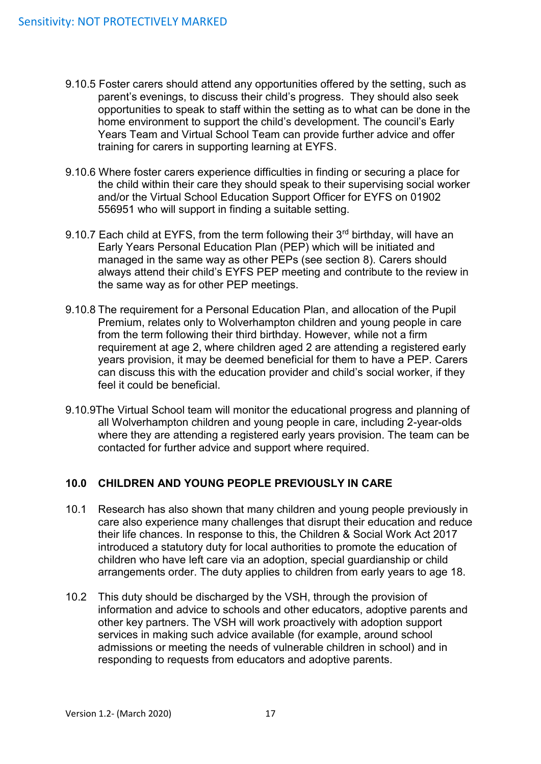- 9.10.5 Foster carers should attend any opportunities offered by the setting, such as parent's evenings, to discuss their child's progress. They should also seek opportunities to speak to staff within the setting as to what can be done in the home environment to support the child's development. The council's Early Years Team and Virtual School Team can provide further advice and offer training for carers in supporting learning at EYFS.
- 9.10.6 Where foster carers experience difficulties in finding or securing a place for the child within their care they should speak to their supervising social worker and/or the Virtual School Education Support Officer for EYFS on 01902 556951 who will support in finding a suitable setting.
- 9.10.7 Each child at EYFS, from the term following their 3rd birthday, will have an Early Years Personal Education Plan (PEP) which will be initiated and managed in the same way as other PEPs (see section 8). Carers should always attend their child's EYFS PEP meeting and contribute to the review in the same way as for other PEP meetings.
- 9.10.8 The requirement for a Personal Education Plan, and allocation of the Pupil Premium, relates only to Wolverhampton children and young people in care from the term following their third birthday. However, while not a firm requirement at age 2, where children aged 2 are attending a registered early years provision, it may be deemed beneficial for them to have a PEP. Carers can discuss this with the education provider and child's social worker, if they feel it could be beneficial.
- 9.10.9The Virtual School team will monitor the educational progress and planning of all Wolverhampton children and young people in care, including 2-year-olds where they are attending a registered early years provision. The team can be contacted for further advice and support where required.

### <span id="page-16-0"></span>**10.0 CHILDREN AND YOUNG PEOPLE PREVIOUSLY IN CARE**

- 10.1 Research has also shown that many children and young people previously in care also experience many challenges that disrupt their education and reduce their life chances. In response to this, the Children & Social Work Act 2017 introduced a statutory duty for local authorities to promote the education of children who have left care via an adoption, special guardianship or child arrangements order. The duty applies to children from early years to age 18.
- 10.2 This duty should be discharged by the VSH, through the provision of information and advice to schools and other educators, adoptive parents and other key partners. The VSH will work proactively with adoption support services in making such advice available (for example, around school admissions or meeting the needs of vulnerable children in school) and in responding to requests from educators and adoptive parents.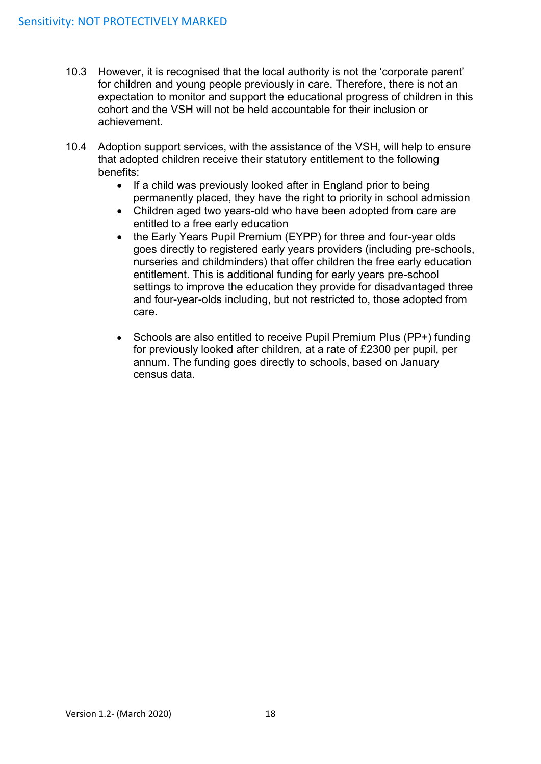- 10.3 However, it is recognised that the local authority is not the 'corporate parent' for children and young people previously in care. Therefore, there is not an expectation to monitor and support the educational progress of children in this cohort and the VSH will not be held accountable for their inclusion or achievement.
- 10.4 Adoption support services, with the assistance of the VSH, will help to ensure that adopted children receive their statutory entitlement to the following benefits:
	- If a child was previously looked after in England prior to being permanently placed, they have the right to priority in school admission
	- Children aged two years-old who have been adopted from care are entitled to a free early education
	- the Early Years Pupil Premium (EYPP) for three and four-year olds goes directly to registered early years providers (including pre-schools, nurseries and childminders) that offer children the free early education entitlement. This is additional funding for early years pre-school settings to improve the education they provide for disadvantaged three and four-year-olds including, but not restricted to, those adopted from care.
	- Schools are also entitled to receive Pupil Premium Plus (PP+) funding for previously looked after children, at a rate of £2300 per pupil, per annum. The funding goes directly to schools, based on January census data.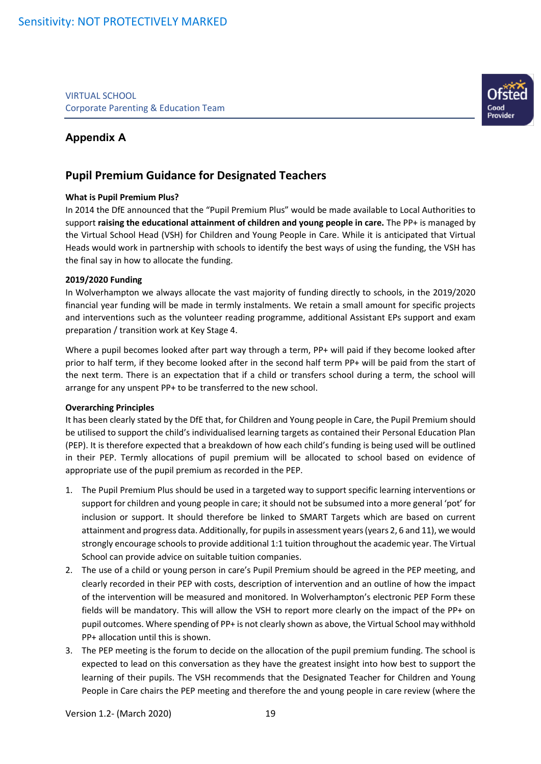VIRTUAL SCHOOL Corporate Parenting & Education Team

## **Appendix A**

## **Pupil Premium Guidance for Designated Teachers**

#### **What is Pupil Premium Plus?**

In 2014 the DfE announced that the "Pupil Premium Plus" would be made available to Local Authorities to support **raising the educational attainment of children and young people in care.** The PP+ is managed by the Virtual School Head (VSH) for Children and Young People in Care. While it is anticipated that Virtual Heads would work in partnership with schools to identify the best ways of using the funding, the VSH has the final say in how to allocate the funding.

#### **2019/2020 Funding**

In Wolverhampton we always allocate the vast majority of funding directly to schools, in the 2019/2020 financial year funding will be made in termly instalments. We retain a small amount for specific projects and interventions such as the volunteer reading programme, additional Assistant EPs support and exam preparation / transition work at Key Stage 4.

Where a pupil becomes looked after part way through a term, PP+ will paid if they become looked after prior to half term, if they become looked after in the second half term PP+ will be paid from the start of the next term. There is an expectation that if a child or transfers school during a term, the school will arrange for any unspent PP+ to be transferred to the new school.

#### **Overarching Principles**

It has been clearly stated by the DfE that, for Children and Young people in Care, the Pupil Premium should be utilised to support the child's individualised learning targets as contained their Personal Education Plan (PEP). It is therefore expected that a breakdown of how each child's funding is being used will be outlined in their PEP. Termly allocations of pupil premium will be allocated to school based on evidence of appropriate use of the pupil premium as recorded in the PEP.

- 1. The Pupil Premium Plus should be used in a targeted way to support specific learning interventions or support for children and young people in care; it should not be subsumed into a more general 'pot' for inclusion or support. It should therefore be linked to SMART Targets which are based on current attainment and progress data. Additionally, for pupils in assessment years (years 2, 6 and 11), we would strongly encourage schools to provide additional 1:1 tuition throughout the academic year. The Virtual School can provide advice on suitable tuition companies.
- 2. The use of a child or young person in care's Pupil Premium should be agreed in the PEP meeting, and clearly recorded in their PEP with costs, description of intervention and an outline of how the impact of the intervention will be measured and monitored. In Wolverhampton's electronic PEP Form these fields will be mandatory. This will allow the VSH to report more clearly on the impact of the PP+ on pupil outcomes. Where spending of PP+ is not clearly shown as above, the Virtual School may withhold PP+ allocation until this is shown.
- 3. The PEP meeting is the forum to decide on the allocation of the pupil premium funding. The school is expected to lead on this conversation as they have the greatest insight into how best to support the learning of their pupils. The VSH recommends that the Designated Teacher for Children and Young People in Care chairs the PEP meeting and therefore the and young people in care review (where the

Version 1.2- (March 2020) 19